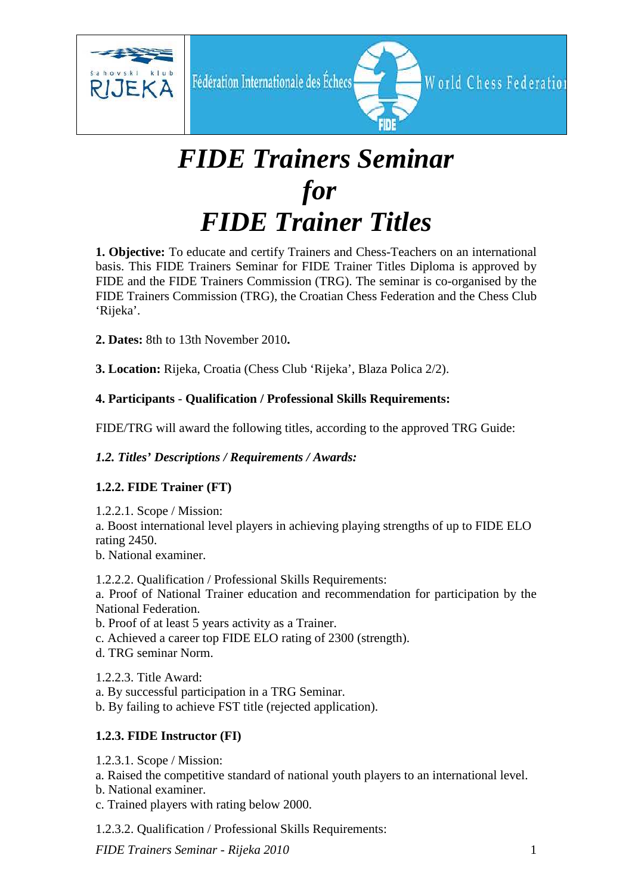

# *FIDE Trainers Seminar for FIDE Trainer Titles*

**1. Objective:** To educate and certify Trainers and Chess-Teachers on an international basis. This FIDE Trainers Seminar for FIDE Trainer Titles Diploma is approved by FIDE and the FIDE Trainers Commission (TRG). The seminar is co-organised by the FIDE Trainers Commission (TRG), the Croatian Chess Federation and the Chess Club 'Rijeka'.

**2. Dates:** 8th to 13th November 2010**.** 

**3. Location:** Rijeka, Croatia (Chess Club 'Rijeka', Blaza Polica 2/2).

# **4. Participants** - **Qualification / Professional Skills Requirements:**

FIDE/TRG will award the following titles, according to the approved TRG Guide:

# *1.2. Titles' Descriptions / Requirements / Awards:*

## **1.2.2. FIDE Trainer (FT)**

1.2.2.1. Scope / Mission:

a. Boost international level players in achieving playing strengths of up to FIDE ELO rating 2450.

b. National examiner.

1.2.2.2. Qualification / Professional Skills Requirements:

a. Proof of National Trainer education and recommendation for participation by the National Federation.

b. Proof of at least 5 years activity as a Trainer.

- c. Achieved a career top FIDE ELO rating of 2300 (strength).
- d. TRG seminar Norm.

1.2.2.3. Title Award:

- a. By successful participation in a TRG Seminar.
- b. By failing to achieve FST title (rejected application).

# **1.2.3. FIDE Instructor (FI)**

- 1.2.3.1. Scope / Mission:
- a. Raised the competitive standard of national youth players to an international level.
- b. National examiner.
- c. Trained players with rating below 2000.
- 1.2.3.2. Qualification / Professional Skills Requirements: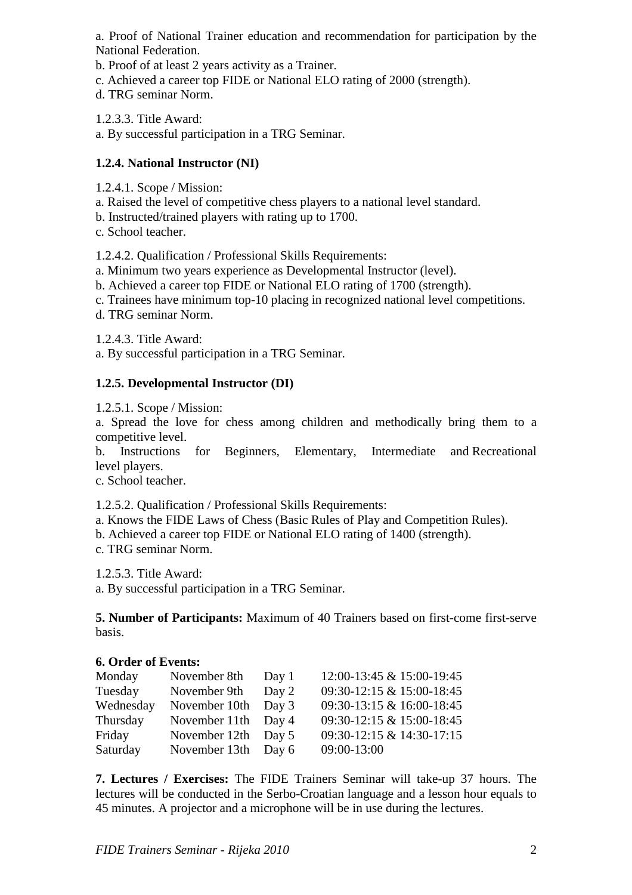a. Proof of National Trainer education and recommendation for participation by the National Federation.

- b. Proof of at least 2 years activity as a Trainer.
- c. Achieved a career top FIDE or National ELO rating of 2000 (strength).
- d. TRG seminar Norm.

1.2.3.3. Title Award:

a. By successful participation in a TRG Seminar.

## **1.2.4. National Instructor (NI)**

- 1.2.4.1. Scope / Mission:
- a. Raised the level of competitive chess players to a national level standard.
- b. Instructed/trained players with rating up to 1700.
- c. School teacher.

1.2.4.2. Qualification / Professional Skills Requirements:

- a. Minimum two years experience as Developmental Instructor (level).
- b. Achieved a career top FIDE or National ELO rating of 1700 (strength).
- c. Trainees have minimum top-10 placing in recognized national level competitions.
- d. TRG seminar Norm.

1.2.4.3. Title Award:

a. By successful participation in a TRG Seminar.

#### **1.2.5. Developmental Instructor (DI)**

1.2.5.1. Scope / Mission:

a. Spread the love for chess among children and methodically bring them to a competitive level.

b. Instructions for Beginners, Elementary, Intermediate and Recreational level players.

c. School teacher.

1.2.5.2. Qualification / Professional Skills Requirements:

- a. Knows the FIDE Laws of Chess (Basic Rules of Play and Competition Rules).
- b. Achieved a career top FIDE or National ELO rating of 1400 (strength).
- c. TRG seminar Norm.

1.2.5.3. Title Award:

a. By successful participation in a TRG Seminar.

**5. Number of Participants:** Maximum of 40 Trainers based on first-come first-serve basis.

#### **6. Order of Events:**

| Monday    | November 8th  | Day 1   | 12:00-13:45 & 15:00-19:45 |
|-----------|---------------|---------|---------------------------|
| Tuesday   | November 9th  | Day 2   | 09:30-12:15 & 15:00-18:45 |
| Wednesday | November 10th | Day $3$ | 09:30-13:15 & 16:00-18:45 |
| Thursday  | November 11th | Day 4   | 09:30-12:15 & 15:00-18:45 |
| Friday    | November 12th | Day 5   | 09:30-12:15 & 14:30-17:15 |
| Saturday  | November 13th | Day 6   | 09:00-13:00               |

**7. Lectures / Exercises:** The FIDE Trainers Seminar will take-up 37 hours. The lectures will be conducted in the Serbo-Croatian language and a lesson hour equals to 45 minutes. A projector and a microphone will be in use during the lectures.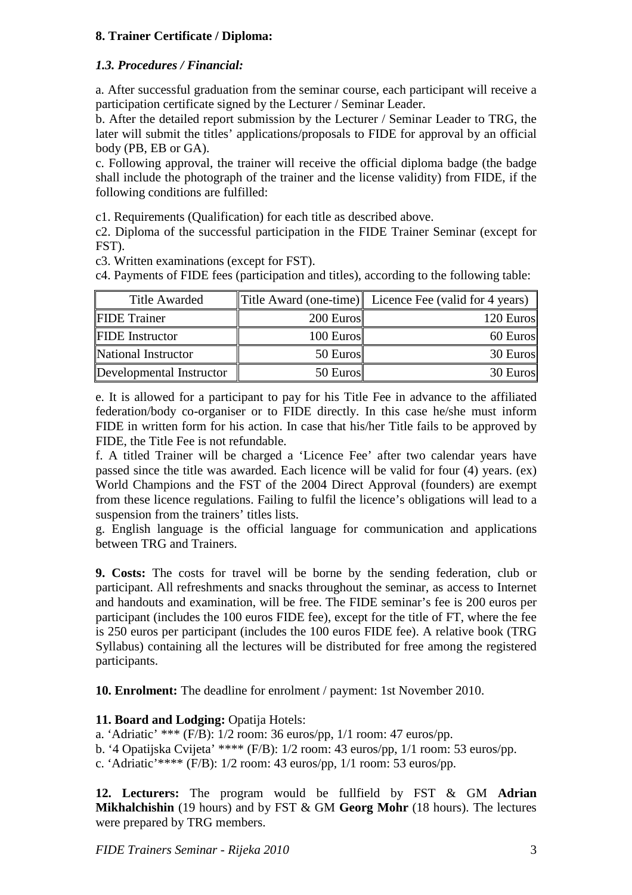# **8. Trainer Certificate / Diploma:**

# *1.3. Procedures / Financial:*

a. After successful graduation from the seminar course, each participant will receive a participation certificate signed by the Lecturer / Seminar Leader.

b. After the detailed report submission by the Lecturer / Seminar Leader to TRG, the later will submit the titles' applications/proposals to FIDE for approval by an official body (PB, EB or GA).

c. Following approval, the trainer will receive the official diploma badge (the badge shall include the photograph of the trainer and the license validity) from FIDE, if the following conditions are fulfilled:

c1. Requirements (Qualification) for each title as described above.

c2. Diploma of the successful participation in the FIDE Trainer Seminar (except for FST).

c3. Written examinations (except for FST).

c4. Payments of FIDE fees (participation and titles), according to the following table:

| <b>Title Awarded</b>     |           | Title Award (one-time) Licence Fee (valid for 4 years) |
|--------------------------|-----------|--------------------------------------------------------|
| <b>FIDE</b> Trainer      | 200 Euros | 120 Euros                                              |
| <b>FIDE</b> Instructor   | 100 Euros | 60 Euros                                               |
| National Instructor      | 50 Euros  | 30 Euros                                               |
| Developmental Instructor | 50 Euros  | 30 Euros                                               |

e. It is allowed for a participant to pay for his Title Fee in advance to the affiliated federation/body co-organiser or to FIDE directly. In this case he/she must inform FIDE in written form for his action. In case that his/her Title fails to be approved by FIDE, the Title Fee is not refundable.

f. A titled Trainer will be charged a 'Licence Fee' after two calendar years have passed since the title was awarded. Each licence will be valid for four (4) years. (ex) World Champions and the FST of the 2004 Direct Approval (founders) are exempt from these licence regulations. Failing to fulfil the licence's obligations will lead to a suspension from the trainers' titles lists.

g. English language is the official language for communication and applications between TRG and Trainers.

**9. Costs:** The costs for travel will be borne by the sending federation, club or participant. All refreshments and snacks throughout the seminar, as access to Internet and handouts and examination, will be free. The FIDE seminar's fee is 200 euros per participant (includes the 100 euros FIDE fee), except for the title of FT, where the fee is 250 euros per participant (includes the 100 euros FIDE fee). A relative book (TRG Syllabus) containing all the lectures will be distributed for free among the registered participants.

**10. Enrolment:** The deadline for enrolment / payment: 1st November 2010.

## 11. Board and Lodging: Opatija Hotels:

a. 'Adriatic' \*\*\* (F/B): 1/2 room: 36 euros/pp, 1/1 room: 47 euros/pp.

b. '4 Opatijska Cvijeta' \*\*\*\* (F/B): 1/2 room: 43 euros/pp, 1/1 room: 53 euros/pp.

c. 'Adriatic'\*\*\*\* (F/B): 1/2 room: 43 euros/pp, 1/1 room: 53 euros/pp.

**12. Lecturers:** The program would be fullfield by FST & GM **Adrian Mikhalchishin** (19 hours) and by FST & GM **Georg Mohr** (18 hours). The lectures were prepared by TRG members.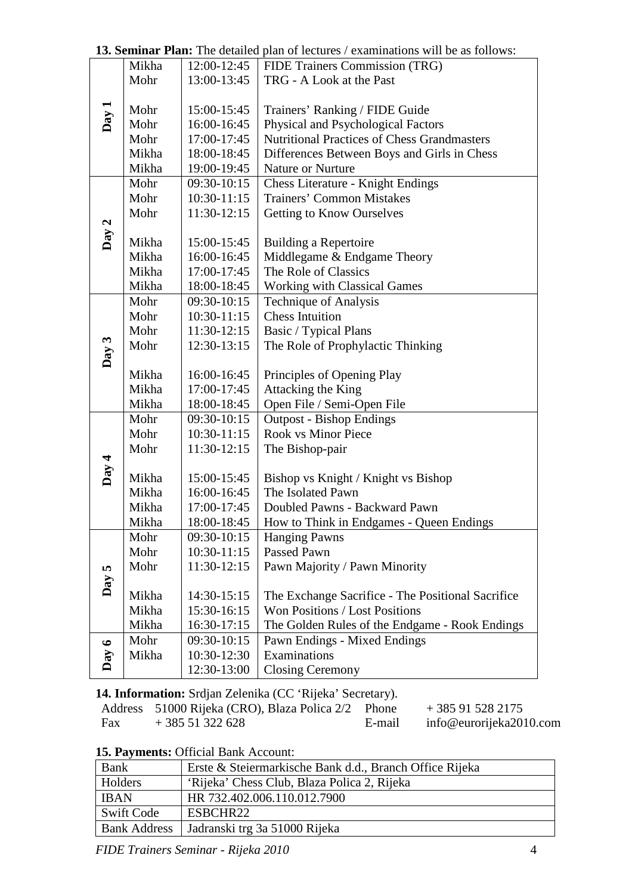|           | Mikha | 12:00-12:45   | FIDE Trainers Commission (TRG)                     |  |
|-----------|-------|---------------|----------------------------------------------------|--|
|           | Mohr  | 13:00-13:45   | TRG - A Look at the Past                           |  |
|           |       |               |                                                    |  |
|           | Mohr  | 15:00-15:45   | Trainers' Ranking / FIDE Guide                     |  |
| Day 1     | Mohr  | 16:00-16:45   | Physical and Psychological Factors                 |  |
|           | Mohr  | 17:00-17:45   | <b>Nutritional Practices of Chess Grandmasters</b> |  |
|           | Mikha | 18:00-18:45   | Differences Between Boys and Girls in Chess        |  |
|           | Mikha | 19:00-19:45   | Nature or Nurture                                  |  |
|           | Mohr  | 09:30-10:15   | Chess Literature - Knight Endings                  |  |
|           | Mohr  | $10:30-11:15$ | <b>Trainers' Common Mistakes</b>                   |  |
|           | Mohr  | 11:30-12:15   | Getting to Know Ourselves                          |  |
|           |       |               |                                                    |  |
| Day 2     | Mikha | 15:00-15:45   | Building a Repertoire                              |  |
|           | Mikha | 16:00-16:45   | Middlegame & Endgame Theory                        |  |
|           | Mikha | 17:00-17:45   | The Role of Classics                               |  |
|           | Mikha | 18:00-18:45   | <b>Working with Classical Games</b>                |  |
|           | Mohr  | 09:30-10:15   | <b>Technique of Analysis</b>                       |  |
|           | Mohr  | $10:30-11:15$ | <b>Chess Intuition</b>                             |  |
|           | Mohr  | 11:30-12:15   | Basic / Typical Plans                              |  |
|           | Mohr  | 12:30-13:15   | The Role of Prophylactic Thinking                  |  |
| Day 3     |       |               |                                                    |  |
|           | Mikha | 16:00-16:45   | Principles of Opening Play                         |  |
|           | Mikha | 17:00-17:45   | Attacking the King                                 |  |
|           | Mikha | 18:00-18:45   | Open File / Semi-Open File                         |  |
|           | Mohr  | 09:30-10:15   | <b>Outpost - Bishop Endings</b>                    |  |
|           | Mohr  | $10:30-11:15$ | <b>Rook vs Minor Piece</b>                         |  |
|           | Mohr  | 11:30-12:15   | The Bishop-pair                                    |  |
| Day 4     |       |               |                                                    |  |
|           | Mikha | 15:00-15:45   | Bishop vs Knight / Knight vs Bishop                |  |
|           | Mikha | 16:00-16:45   | The Isolated Pawn                                  |  |
|           | Mikha | 17:00-17:45   | Doubled Pawns - Backward Pawn                      |  |
|           | Mikha | 18:00-18:45   | How to Think in Endgames - Queen Endings           |  |
|           | Mohr  | 09:30-10:15   | <b>Hanging Pawns</b>                               |  |
|           | Mohr  | 10:30-11:15   | Passed Pawn                                        |  |
| <b>S</b>  | Mohr  | 11:30-12:15   | Pawn Majority / Pawn Minority                      |  |
| Day       |       |               |                                                    |  |
|           | Mikha | 14:30-15:15   | The Exchange Sacrifice - The Positional Sacrifice  |  |
|           | Mikha | 15:30-16:15   | Won Positions / Lost Positions                     |  |
|           | Mikha | 16:30-17:15   | The Golden Rules of the Endgame - Rook Endings     |  |
| $\bullet$ | Mohr  | 09:30-10:15   | Pawn Endings - Mixed Endings                       |  |
| Day       | Mikha | 10:30-12:30   | Examinations                                       |  |
|           |       | 12:30-13:00   | <b>Closing Ceremony</b>                            |  |

**13. Seminar Plan:** The detailed plan of lectures / examinations will be as follows:

**14. Information:** Srdjan Zelenika (CC 'Rijeka' Secretary).

|     | Address 51000 Rijeka (CRO), Blaza Polica 2/2 Phone |        | $+385915282175$         |
|-----|----------------------------------------------------|--------|-------------------------|
| Fax | $+38551322628$                                     | E-mail | info@eurorijeka2010.com |

**15. Payments:** Official Bank Account:

| <b>Bank</b>         | Erste & Steiermarkische Bank d.d., Branch Office Rijeka |
|---------------------|---------------------------------------------------------|
| Holders             | 'Rijeka' Chess Club, Blaza Polica 2, Rijeka             |
| <b>IBAN</b>         | HR 732.402.006.110.012.7900                             |
| Swift Code          | ESBCHR22                                                |
| <b>Bank Address</b> | Jadranski trg 3a 51000 Rijeka                           |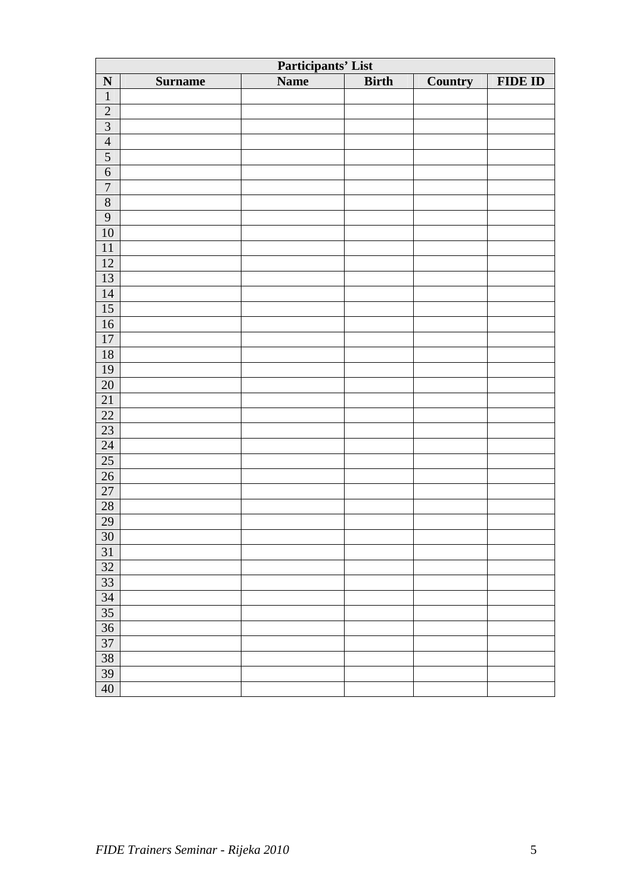| Participants' List |                |             |              |         |                |
|--------------------|----------------|-------------|--------------|---------|----------------|
| $\mathbf N$        | <b>Surname</b> | <b>Name</b> | <b>Birth</b> | Country | <b>FIDE ID</b> |
| $\mathbf 1$        |                |             |              |         |                |
| $\overline{2}$     |                |             |              |         |                |
| $\frac{3}{4}$      |                |             |              |         |                |
|                    |                |             |              |         |                |
| $\overline{5}$     |                |             |              |         |                |
| $\overline{6}$     |                |             |              |         |                |
| $\overline{7}$     |                |             |              |         |                |
| $\sqrt{8}$         |                |             |              |         |                |
| $\overline{9}$     |                |             |              |         |                |
| $\overline{10}$    |                |             |              |         |                |
| $\overline{11}$    |                |             |              |         |                |
| $\overline{12}$    |                |             |              |         |                |
| 13                 |                |             |              |         |                |
| $\overline{14}$    |                |             |              |         |                |
| $\overline{15}$    |                |             |              |         |                |
| $16$               |                |             |              |         |                |
| $\overline{17}$    |                |             |              |         |                |
| $18\,$             |                |             |              |         |                |
| 19                 |                |             |              |         |                |
| $20\,$             |                |             |              |         |                |
| $\overline{21}$    |                |             |              |         |                |
| $22\,$             |                |             |              |         |                |
| $\overline{23}$    |                |             |              |         |                |
| 24                 |                |             |              |         |                |
| $\overline{25}$    |                |             |              |         |                |
| $\overline{26}$    |                |             |              |         |                |
| 27                 |                |             |              |         |                |
| $\overline{28}$    |                |             |              |         |                |
| $\frac{29}{30}$    |                |             |              |         |                |
|                    |                |             |              |         |                |
| 31                 |                |             |              |         |                |
| 32                 |                |             |              |         |                |
| 33                 |                |             |              |         |                |
| 34                 |                |             |              |         |                |
| 35                 |                |             |              |         |                |
| 36                 |                |             |              |         |                |
| $\overline{37}$    |                |             |              |         |                |
| $\overline{38}$    |                |             |              |         |                |
| 39                 |                |             |              |         |                |
| 40                 |                |             |              |         |                |